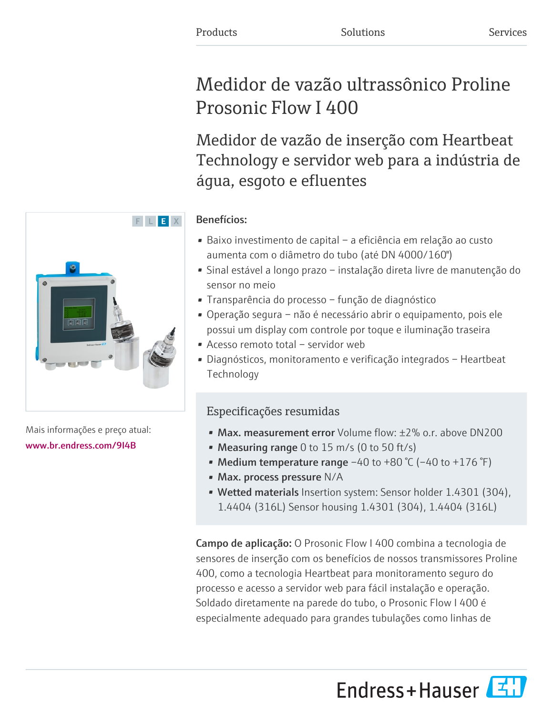# Medidor de vazão ultrassônico Proline Prosonic Flow I 400

Medidor de vazão de inserção com Heartbeat Technology e servidor web para a indústria de água, esgoto e efluentes

# Benefícios:

- Baixo investimento de capital a eficiência em relação ao custo aumenta com o diâmetro do tubo (até DN 4000/160")
- Sinal estável a longo prazo instalação direta livre de manutenção do sensor no meio
- Transparência do processo função de diagnóstico
- Operação segura não é necessário abrir o equipamento, pois ele possui um display com controle por toque e iluminação traseira
- Acesso remoto total servidor web
- Diagnósticos, monitoramento e verificação integrados Heartbeat Technology

# Especificações resumidas

- Max. measurement error Volume flow: ±2% o.r. above DN200
- Measuring range 0 to 15 m/s (0 to 50 ft/s)
- Medium temperature range  $-40$  to  $+80$  °C ( $-40$  to  $+176$  °F)
- Max. process pressure N/A
- Wetted materials Insertion system: Sensor holder 1.4301 (304), 1.4404 (316L) Sensor housing 1.4301 (304), 1.4404 (316L)

Campo de aplicação: O Prosonic Flow I 400 combina a tecnologia de sensores de inserção com os benefícios de nossos transmissores Proline 400, como a tecnologia Heartbeat para monitoramento seguro do processo e acesso a servidor web para fácil instalação e operação. Soldado diretamente na parede do tubo, o Prosonic Flow I 400 é especialmente adequado para grandes tubulações como linhas de

Endress+Hauser



Mais informações e preço atual: [www.br.endress.com/9I4B](https://www.br.endress.com/9I4B)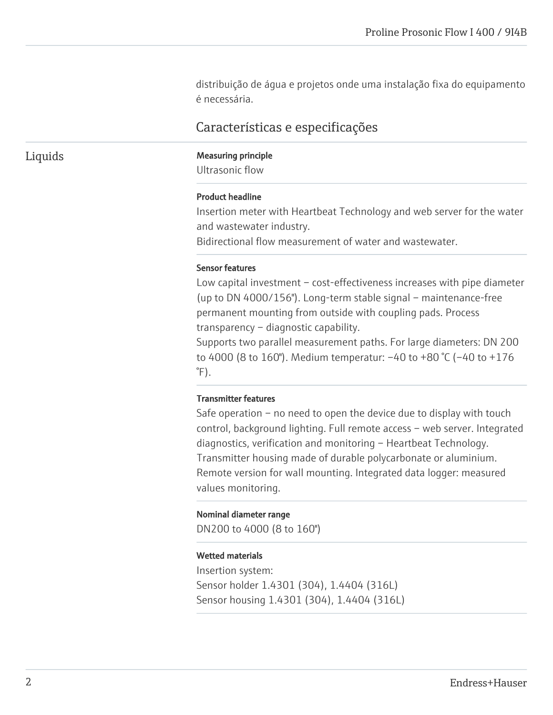distribuição de água e projetos onde uma instalação fixa do equipamento é necessária.

# Características e especificações

#### Liquids Measuring principle

Ultrasonic flow

#### Product headline

Insertion meter with Heartbeat Technology and web server for the water and wastewater industry.

Bidirectional flow measurement of water and wastewater.

#### Sensor features

Low capital investment – cost-effectiveness increases with pipe diameter (up to DN 4000/156"). Long-term stable signal – maintenance-free permanent mounting from outside with coupling pads. Process transparency – diagnostic capability.

Supports two parallel measurement paths. For large diameters: DN 200 to 4000 (8 to 160"). Medium temperatur: –40 to +80 °C (–40 to +176  $\degree$ F).

#### Transmitter features

Safe operation – no need to open the device due to display with touch control, background lighting. Full remote access – web server. Integrated diagnostics, verification and monitoring – Heartbeat Technology. Transmitter housing made of durable polycarbonate or aluminium. Remote version for wall mounting. Integrated data logger: measured values monitoring.

#### Nominal diameter range

DN200 to 4000 (8 to 160")

#### Wetted materials

Insertion system: Sensor holder 1.4301 (304), 1.4404 (316L) Sensor housing 1.4301 (304), 1.4404 (316L)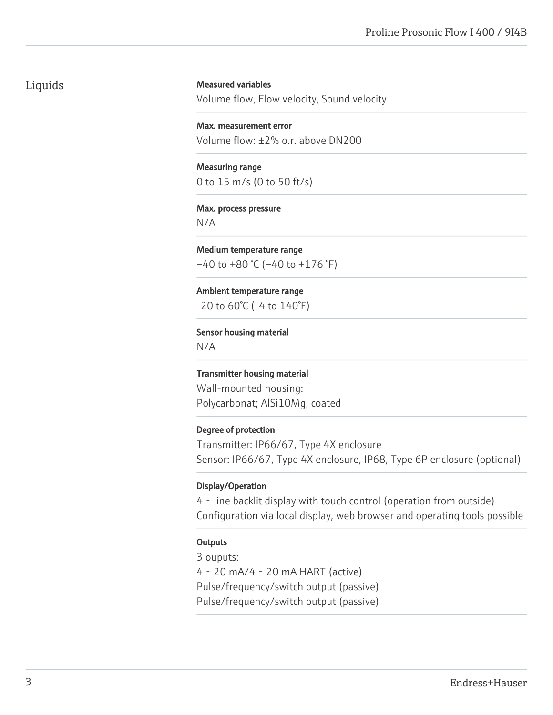# Liquids

#### Measured variables

Volume flow, Flow velocity, Sound velocity

Max. measurement error Volume flow: ±2% o.r. above DN200

Measuring range 0 to 15 m/s (0 to 50 ft/s)

#### Max. process pressure N/A

Medium temperature range  $-40$  to  $+80$  °C ( $-40$  to  $+176$  °F)

Ambient temperature range -20 to 60°C (-4 to 140°F)

Sensor housing material

N/A

Transmitter housing material Wall-mounted housing: Polycarbonat; AlSi10Mg, coated

#### Degree of protection

Transmitter: IP66/67, Type 4X enclosure Sensor: IP66/67, Type 4X enclosure, IP68, Type 6P enclosure (optional)

#### Display/Operation

4‐line backlit display with touch control (operation from outside) Configuration via local display, web browser and operating tools possible

#### **Outputs**

3 ouputs: 4‐20 mA/4‐20 mA HART (active) Pulse/frequency/switch output (passive) Pulse/frequency/switch output (passive)